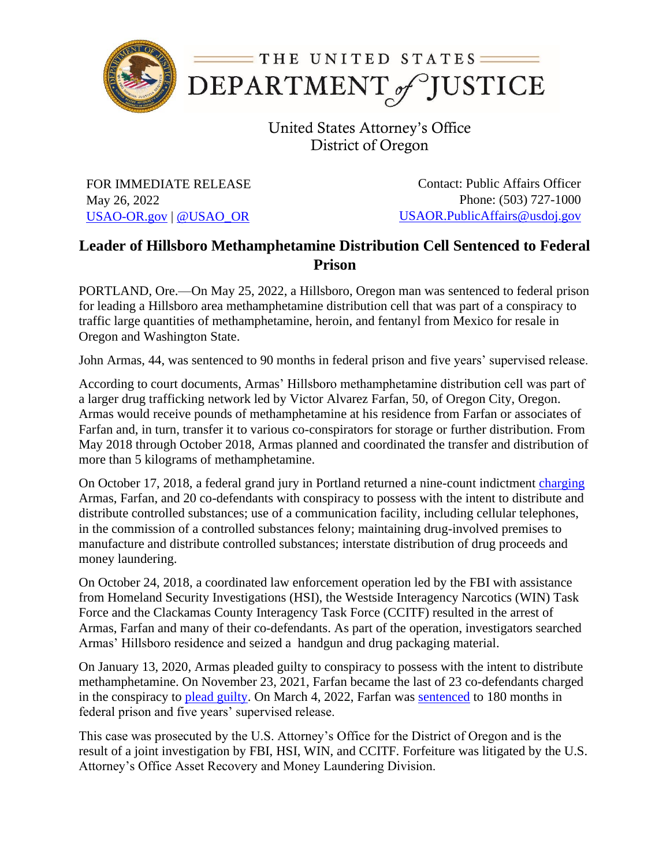

United States Attorney's Office District of Oregon

FOR IMMEDIATE RELEASE May 26, 2022 [USAO-OR.gov](http://www.usdoj.gov/usao/or) | [@USAO\\_OR](https://twitter.com/USAO_OR)

Contact: Public Affairs Officer Phone: (503) 727-1000 [USAOR.PublicAffairs@usdoj.gov](mailto:usaor.publicaffairs@usdoj.gov)

## **Leader of Hillsboro Methamphetamine Distribution Cell Sentenced to Federal Prison**

PORTLAND, Ore.—On May 25, 2022, a Hillsboro, Oregon man was sentenced to federal prison for leading a Hillsboro area methamphetamine distribution cell that was part of a conspiracy to traffic large quantities of methamphetamine, heroin, and fentanyl from Mexico for resale in Oregon and Washington State.

John Armas, 44, was sentenced to 90 months in federal prison and five years' supervised release.

According to court documents, Armas' Hillsboro methamphetamine distribution cell was part of a larger drug trafficking network led by Victor Alvarez Farfan, 50, of Oregon City, Oregon. Armas would receive pounds of methamphetamine at his residence from Farfan or associates of Farfan and, in turn, transfer it to various co-conspirators for storage or further distribution. From May 2018 through October 2018, Armas planned and coordinated the transfer and distribution of more than 5 kilograms of methamphetamine.

On October 17, 2018, a federal grand jury in Portland returned a nine-count indictment [charging](https://www.justice.gov/usao-or/pr/22-indicted-operation-targeting-drug-trafficking-organization-tied-cartel-michoacan) Armas, Farfan, and 20 co-defendants with conspiracy to possess with the intent to distribute and distribute controlled substances; use of a communication facility, including cellular telephones, in the commission of a controlled substances felony; maintaining drug-involved premises to manufacture and distribute controlled substances; interstate distribution of drug proceeds and money laundering.

On October 24, 2018, a coordinated law enforcement operation led by the FBI with assistance from Homeland Security Investigations (HSI), the Westside Interagency Narcotics (WIN) Task Force and the Clackamas County Interagency Task Force (CCITF) resulted in the arrest of Armas, Farfan and many of their co-defendants. As part of the operation, investigators searched Armas' Hillsboro residence and seized a handgun and drug packaging material.

On January 13, 2020, Armas pleaded guilty to conspiracy to possess with the intent to distribute methamphetamine. On November 23, 2021, Farfan became the last of 23 co-defendants charged in the conspiracy to [plead guilty.](https://www.justice.gov/usao-or/pr/leader-local-drug-trafficking-organization-pleads-guilty) On March 4, 2022, Farfan was [sentenced](https://www.justice.gov/usao-or/pr/leader-local-drug-trafficking-organization-sentenced-federal-prison) to 180 months in federal prison and five years' supervised release.

This case was prosecuted by the U.S. Attorney's Office for the District of Oregon and is the result of a joint investigation by FBI, HSI, WIN, and CCITF. Forfeiture was litigated by the U.S. Attorney's Office Asset Recovery and Money Laundering Division.